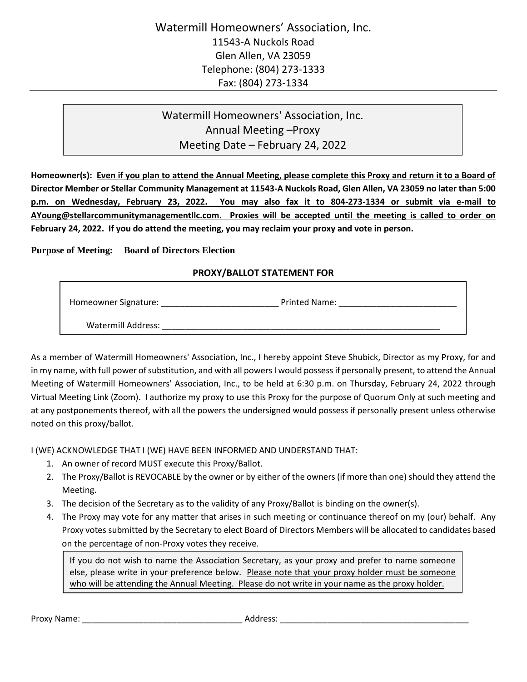Watermill Homeowners' Association, Inc. Annual Meeting –Proxy Meeting Date – February 24, 2022

**Homeowner(s): Even if you plan to attend the Annual Meeting, please complete this Proxy and return it to a Board of Director Member or Stellar Community Management at 11543-A Nuckols Road, Glen Allen, VA 23059 no later than 5:00 p.m. on Wednesday, February 23, 2022. You may also fax it to 804-273-1334 or submit via e-mail to AYoung@stellarcommunitymanagementllc.com. Proxies will be accepted until the meeting is called to order on February 24, 2022. If you do attend the meeting, you may reclaim your proxy and vote in person.**

**Purpose of Meeting: Board of Directors Election**

### **PROXY/BALLOT STATEMENT FOR**

| Homeowner Signature:      | <b>Printed Name:</b> |
|---------------------------|----------------------|
| <b>Watermill Address:</b> |                      |

As a member of Watermill Homeowners' Association, Inc., I hereby appoint Steve Shubick, Director as my Proxy, for and in my name, with full power of substitution, and with all powers I would possess if personally present, to attend the Annual Meeting of Watermill Homeowners' Association, Inc., to be held at 6:30 p.m. on Thursday, February 24, 2022 through Virtual Meeting Link (Zoom). I authorize my proxy to use this Proxy for the purpose of Quorum Only at such meeting and at any postponements thereof, with all the powers the undersigned would possess if personally present unless otherwise noted on this proxy/ballot.

I (WE) ACKNOWLEDGE THAT I (WE) HAVE BEEN INFORMED AND UNDERSTAND THAT:

- 1. An owner of record MUST execute this Proxy/Ballot.
- 2. The Proxy/Ballot is REVOCABLE by the owner or by either of the owners (if more than one) should they attend the Meeting.
- 3. The decision of the Secretary as to the validity of any Proxy/Ballot is binding on the owner(s).
- 4. The Proxy may vote for any matter that arises in such meeting or continuance thereof on my (our) behalf. Any Proxy votes submitted by the Secretary to elect Board of Directors Members will be allocated to candidates based on the percentage of non-Proxy votes they receive.

If you do not wish to name the Association Secretary, as your proxy and prefer to name someone else, please write in your preference below. Please note that your proxy holder must be someone who will be attending the Annual Meeting. Please do not write in your name as the proxy holder.

Proxy Name: The contract of the contract of the contract of Address:  $\Delta d$  Address:  $\Delta d$  and  $\Delta d$  and  $\Delta d$  and  $\Delta d$  and  $\Delta d$  and  $\Delta d$  and  $\Delta d$  and  $\Delta d$  and  $\Delta d$  and  $\Delta d$  and  $\Delta d$  and  $\Delta d$  and  $\Delta d$  and  $\Delta d$  an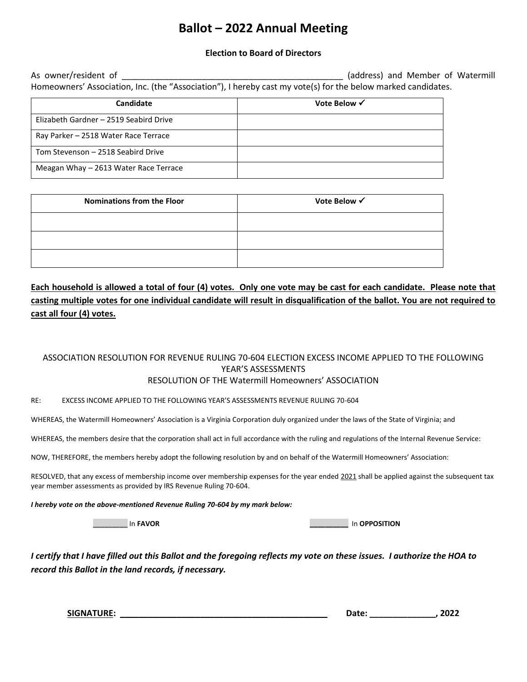### **Ballot – 2022 Annual Meeting**

### **Election to Board of Directors**

As owner/resident of \_\_\_\_\_\_\_\_\_\_\_\_\_\_\_\_\_\_\_\_\_\_\_\_\_\_\_\_\_\_\_\_\_\_\_\_\_\_\_\_\_\_\_\_\_\_\_ (address) and Member of Watermill Homeowners' Association, Inc. (the "Association"), I hereby cast my vote(s) for the below marked candidates.

| Candidate                              | Vote Below √ |
|----------------------------------------|--------------|
| Elizabeth Gardner - 2519 Seabird Drive |              |
| Ray Parker - 2518 Water Race Terrace   |              |
| Tom Stevenson - 2518 Seabird Drive     |              |
| Meagan Whay - 2613 Water Race Terrace  |              |

| <b>Nominations from the Floor</b> | Vote Below √ |
|-----------------------------------|--------------|
|                                   |              |
|                                   |              |
|                                   |              |

**Each household is allowed a total of four (4) votes. Only one vote may be cast for each candidate. Please note that casting multiple votes for one individual candidate will result in disqualification of the ballot. You are not required to cast all four (4) votes.** 

### ASSOCIATION RESOLUTION FOR REVENUE RULING 70-604 ELECTION EXCESS INCOME APPLIED TO THE FOLLOWING YEAR'S ASSESSMENTS RESOLUTION OF THE Watermill Homeowners' ASSOCIATION

#### RE: EXCESS INCOME APPLIED TO THE FOLLOWING YEAR'S ASSESSMENTS REVENUE RULING 70-604

WHEREAS, the Watermill Homeowners' Association is a Virginia Corporation duly organized under the laws of the State of Virginia; and

WHEREAS, the members desire that the corporation shall act in full accordance with the ruling and regulations of the Internal Revenue Service:

NOW, THEREFORE, the members hereby adopt the following resolution by and on behalf of the Watermill Homeowners' Association:

RESOLVED, that any excess of membership income over membership expenses for the year ended 2021 shall be applied against the subsequent tax year member assessments as provided by IRS Revenue Ruling 70-604.

*I hereby vote on the above-mentioned Revenue Ruling 70-604 by my mark below:*

\_\_\_\_\_\_\_\_\_ In **FAVOR \_\_\_\_\_\_\_\_\_\_** In **OPPOSITION**

*I certify that I have filled out this Ballot and the foregoing reflects my vote on these issues. I authorize the HOA to record this Ballot in the land records, if necessary.*

**SIGNATURE: \_\_\_\_\_\_\_\_\_\_\_\_\_\_\_\_\_\_\_\_\_\_\_\_\_\_\_\_\_\_\_\_\_\_\_\_\_\_\_\_\_\_\_\_ Date: \_\_\_\_\_\_\_\_\_\_\_\_\_\_, 2022**